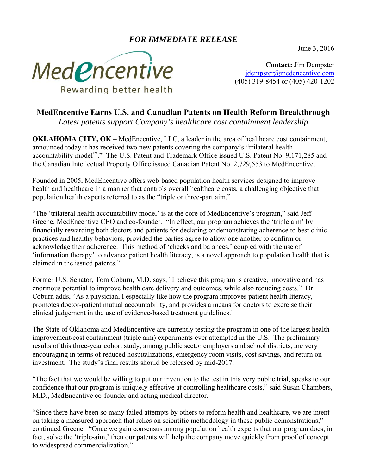## *FOR IMMEDIATE RELEASE*

June 3, 2016



**Contact:** Jim Dempster jdempster@medencentive.com (405) 319-8454 or (405) 420-1202

## **MedEncentive Earns U.S. and Canadian Patents on Health Reform Breakthrough**

*Latest patents support Company's healthcare cost containment leadership* 

**OKLAHOMA CITY, OK** – MedEncentive, LLC, a leader in the area of healthcare cost containment, announced today it has received two new patents covering the company's "trilateral health accountability model™." The U.S. Patent and Trademark Office issued U.S. Patent No. 9,171,285 and the Canadian Intellectual Property Office issued Canadian Patent No. 2,729,553 to MedEncentive.

Founded in 2005, MedEncentive offers web-based population health services designed to improve health and healthcare in a manner that controls overall healthcare costs, a challenging objective that population health experts referred to as the "triple or three-part aim."

"The 'trilateral health accountability model' is at the core of MedEncentive's program," said Jeff Greene, MedEncentive CEO and co-founder. "In effect, our program achieves the 'triple aim' by financially rewarding both doctors and patients for declaring or demonstrating adherence to best clinic practices and healthy behaviors, provided the parties agree to allow one another to confirm or acknowledge their adherence. This method of 'checks and balances,' coupled with the use of 'information therapy' to advance patient health literacy, is a novel approach to population health that is claimed in the issued patents."

Former U.S. Senator, Tom Coburn, M.D. says, "I believe this program is creative, innovative and has enormous potential to improve health care delivery and outcomes, while also reducing costs." Dr. Coburn adds, "As a physician, I especially like how the program improves patient health literacy, promotes doctor-patient mutual accountability, and provides a means for doctors to exercise their clinical judgement in the use of evidence-based treatment guidelines."

The State of Oklahoma and MedEncentive are currently testing the program in one of the largest health improvement/cost containment (triple aim) experiments ever attempted in the U.S. The preliminary results of this three-year cohort study, among public sector employers and school districts, are very encouraging in terms of reduced hospitalizations, emergency room visits, cost savings, and return on investment. The study's final results should be released by mid-2017.

"The fact that we would be willing to put our invention to the test in this very public trial, speaks to our confidence that our program is uniquely effective at controlling healthcare costs," said Susan Chambers, M.D., MedEncentive co-founder and acting medical director.

"Since there have been so many failed attempts by others to reform health and healthcare, we are intent on taking a measured approach that relies on scientific methodology in these public demonstrations," continued Greene. "Once we gain consensus among population health experts that our program does, in fact, solve the 'triple-aim,' then our patents will help the company move quickly from proof of concept to widespread commercialization."